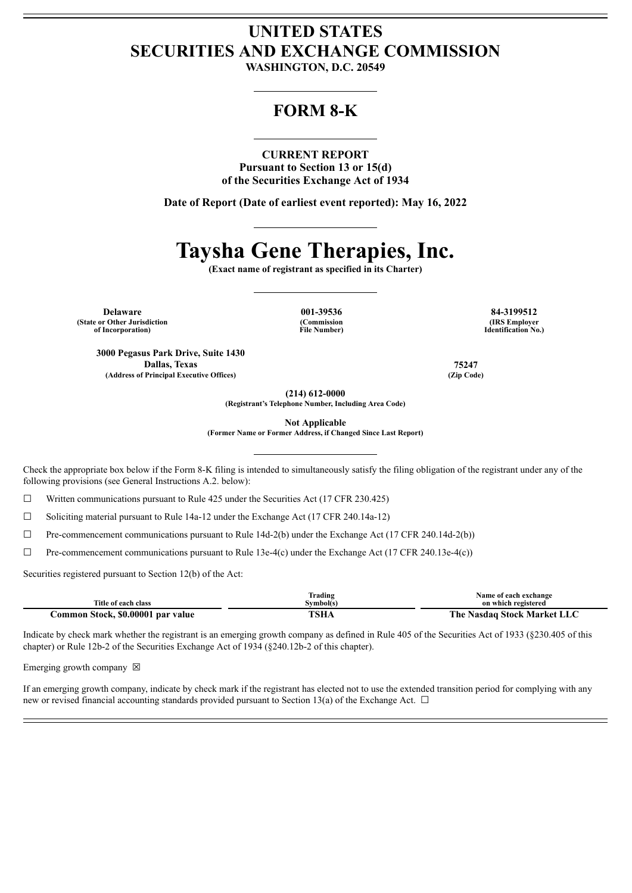## **UNITED STATES SECURITIES AND EXCHANGE COMMISSION**

**WASHINGTON, D.C. 20549**

### **FORM 8-K**

#### **CURRENT REPORT**

**Pursuant to Section 13 or 15(d) of the Securities Exchange Act of 1934**

**Date of Report (Date of earliest event reported): May 16, 2022**

# **Taysha Gene Therapies, Inc.**

**(Exact name of registrant as specified in its Charter)**

**Delaware 001-39536 84-3199512 (State or Other Jurisdiction of Incorporation)**

**(Commission File Number)**

**(IRS Employer Identification No.)**

**3000 Pegasus Park Drive, Suite 1430 Dallas, Texas 75247**<br> **Principal Executive Offices 1988 (Address of Principal Executive Offices) (Zip Code)**

**(214) 612-0000 (Registrant's Telephone Number, Including Area Code)**

**Not Applicable**

**(Former Name or Former Address, if Changed Since Last Report)**

Check the appropriate box below if the Form 8-K filing is intended to simultaneously satisfy the filing obligation of the registrant under any of the following provisions (see General Instructions A.2. below):

 $\Box$  Written communications pursuant to Rule 425 under the Securities Act (17 CFR 230.425)

 $\Box$  Soliciting material pursuant to Rule 14a-12 under the Exchange Act (17 CFR 240.14a-12)

 $\Box$  Pre-commencement communications pursuant to Rule 14d-2(b) under the Exchange Act (17 CFR 240.14d-2(b))

☐ Pre-commencement communications pursuant to Rule 13e-4(c) under the Exchange Act (17 CFR 240.13e-4(c))

Securities registered pursuant to Section 12(b) of the Act:

|                                   | Frading   | Name of each exchange       |
|-----------------------------------|-----------|-----------------------------|
| Title of each class               | svmbol(s) | on which registered         |
| Common Stock, \$0.00001 par value |           | The Nasdaq Stock Market LLC |

Indicate by check mark whether the registrant is an emerging growth company as defined in Rule 405 of the Securities Act of 1933 (§230.405 of this chapter) or Rule 12b-2 of the Securities Exchange Act of 1934 (§240.12b-2 of this chapter).

Emerging growth company  $\boxtimes$ 

If an emerging growth company, indicate by check mark if the registrant has elected not to use the extended transition period for complying with any new or revised financial accounting standards provided pursuant to Section 13(a) of the Exchange Act.  $\Box$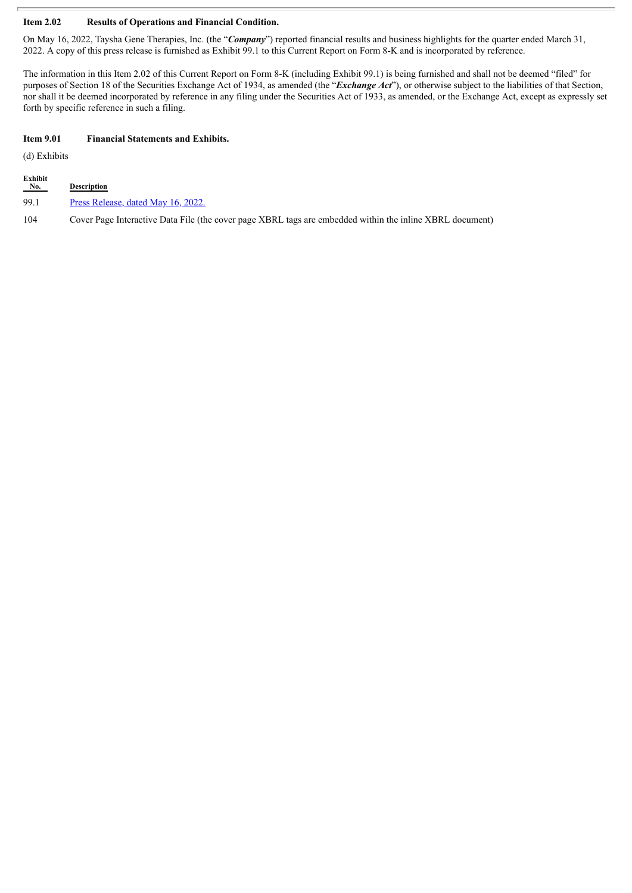#### **Item 2.02 Results of Operations and Financial Condition.**

On May 16, 2022, Taysha Gene Therapies, Inc. (the "*Company*") reported financial results and business highlights for the quarter ended March 31, 2022. A copy of this press release is furnished as Exhibit 99.1 to this Current Report on Form 8-K and is incorporated by reference.

The information in this Item 2.02 of this Current Report on Form 8-K (including Exhibit 99.1) is being furnished and shall not be deemed "filed" for purposes of Section 18 of the Securities Exchange Act of 1934, as amended (the "*Exchange Act*"), or otherwise subject to the liabilities of that Section, nor shall it be deemed incorporated by reference in any filing under the Securities Act of 1933, as amended, or the Exchange Act, except as expressly set forth by specific reference in such a filing.

#### **Item 9.01 Financial Statements and Exhibits.**

(d) Exhibits

| Exhibit<br>No. | <b>Description</b>                                                                                       |
|----------------|----------------------------------------------------------------------------------------------------------|
| 99.1           | Press Release, dated May 16, 2022.                                                                       |
| 104            | Cover Page Interactive Data File (the cover page XBRL tags are embedded within the inline XBRL document) |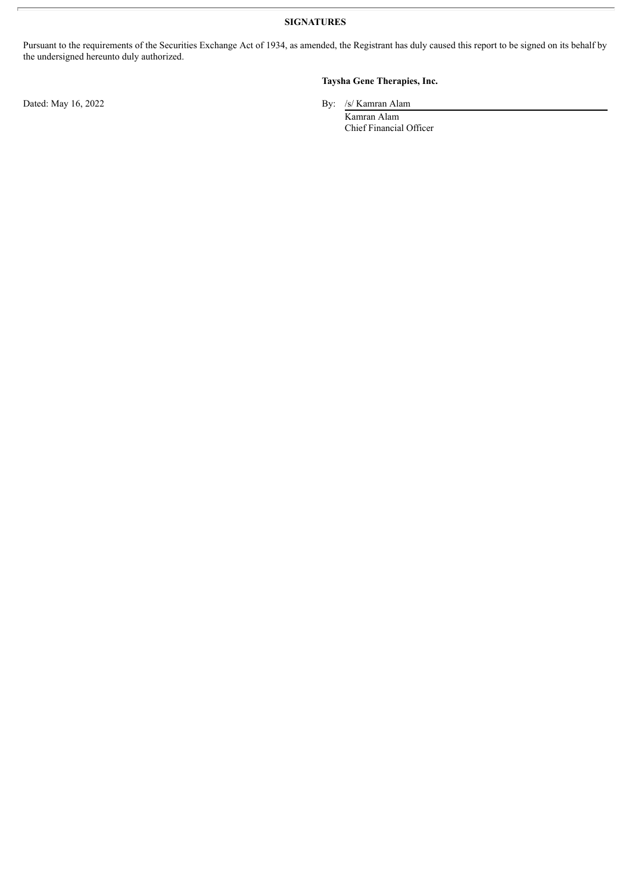**SIGNATURES**

Pursuant to the requirements of the Securities Exchange Act of 1934, as amended, the Registrant has duly caused this report to be signed on its behalf by the undersigned hereunto duly authorized.

#### **Taysha Gene Therapies, Inc.**

Dated: May 16, 2022 By: /s/ Kamran Alam

Kamran Alam Chief Financial Officer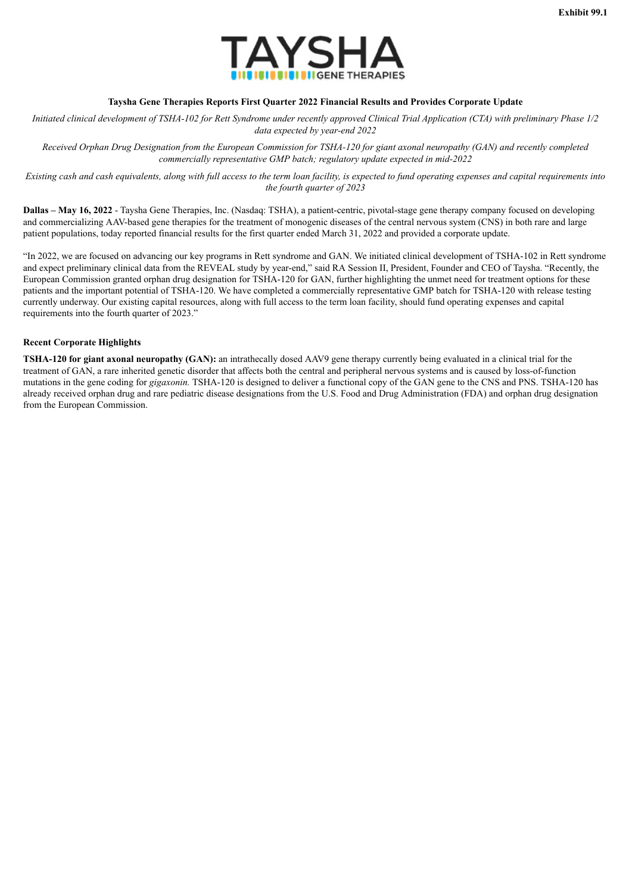

#### **Taysha Gene Therapies Reports First Quarter 2022 Financial Results and Provides Corporate Update**

<span id="page-3-0"></span>Initiated clinical development of TSHA-102 for Rett Syndrome under recently approved Clinical Trial Application (CTA) with preliminary Phase 1/2 *data expected by year-end 2022*

Received Orphan Drug Designation from the European Commission for TSHA-120 for giant axonal neuropathy (GAN) and recently completed *commercially representative GMP batch; regulatory update expected in mid-2022*

Existing cash and cash equivalents, along with full access to the term loan facility, is expected to fund operating expenses and capital requirements into *the fourth quarter of 2023*

**Dallas – May 16, 2022** - Taysha Gene Therapies, Inc. (Nasdaq: TSHA), a patient-centric, pivotal-stage gene therapy company focused on developing and commercializing AAV-based gene therapies for the treatment of monogenic diseases of the central nervous system (CNS) in both rare and large patient populations, today reported financial results for the first quarter ended March 31, 2022 and provided a corporate update.

"In 2022, we are focused on advancing our key programs in Rett syndrome and GAN. We initiated clinical development of TSHA-102 in Rett syndrome and expect preliminary clinical data from the REVEAL study by year-end," said RA Session II, President, Founder and CEO of Taysha. "Recently, the European Commission granted orphan drug designation for TSHA-120 for GAN, further highlighting the unmet need for treatment options for these patients and the important potential of TSHA-120. We have completed a commercially representative GMP batch for TSHA-120 with release testing currently underway. Our existing capital resources, along with full access to the term loan facility, should fund operating expenses and capital requirements into the fourth quarter of 2023."

#### **Recent Corporate Highlights**

**TSHA-120 for giant axonal neuropathy (GAN):** an intrathecally dosed AAV9 gene therapy currently being evaluated in a clinical trial for the treatment of GAN, a rare inherited genetic disorder that affects both the central and peripheral nervous systems and is caused by loss-of-function mutations in the gene coding for *gigaxonin.* TSHA-120 is designed to deliver a functional copy of the GAN gene to the CNS and PNS. TSHA-120 has already received orphan drug and rare pediatric disease designations from the U.S. Food and Drug Administration (FDA) and orphan drug designation from the European Commission.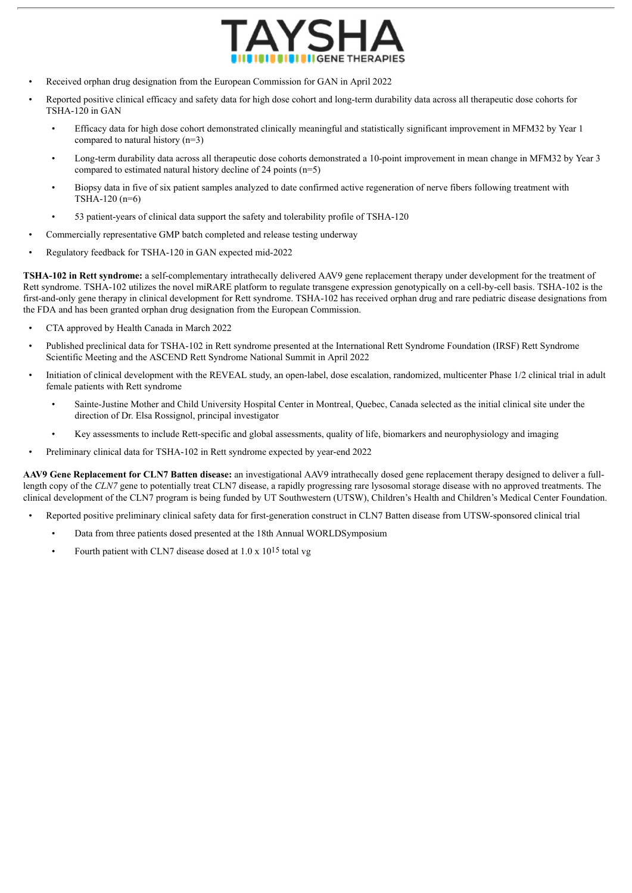

- Received orphan drug designation from the European Commission for GAN in April 2022
- Reported positive clinical efficacy and safety data for high dose cohort and long-term durability data across all therapeutic dose cohorts for TSHA-120 in GAN
	- Efficacy data for high dose cohort demonstrated clinically meaningful and statistically significant improvement in MFM32 by Year 1 compared to natural history (n=3)
	- Long-term durability data across all therapeutic dose cohorts demonstrated a 10-point improvement in mean change in MFM32 by Year 3 compared to estimated natural history decline of 24 points (n=5)
	- Biopsy data in five of six patient samples analyzed to date confirmed active regeneration of nerve fibers following treatment with TSHA-120 (n=6)
	- 53 patient-years of clinical data support the safety and tolerability profile of TSHA-120
- Commercially representative GMP batch completed and release testing underway
- Regulatory feedback for TSHA-120 in GAN expected mid-2022

**TSHA-102 in Rett syndrome:** a self-complementary intrathecally delivered AAV9 gene replacement therapy under development for the treatment of Rett syndrome. TSHA-102 utilizes the novel miRARE platform to regulate transgene expression genotypically on a cell-by-cell basis. TSHA-102 is the first-and-only gene therapy in clinical development for Rett syndrome. TSHA-102 has received orphan drug and rare pediatric disease designations from the FDA and has been granted orphan drug designation from the European Commission.

- CTA approved by Health Canada in March 2022
- Published preclinical data for TSHA-102 in Rett syndrome presented at the International Rett Syndrome Foundation (IRSF) Rett Syndrome Scientific Meeting and the ASCEND Rett Syndrome National Summit in April 2022
- Initiation of clinical development with the REVEAL study, an open-label, dose escalation, randomized, multicenter Phase 1/2 clinical trial in adult female patients with Rett syndrome
	- Sainte-Justine Mother and Child University Hospital Center in Montreal, Quebec, Canada selected as the initial clinical site under the direction of Dr. Elsa Rossignol, principal investigator
	- Key assessments to include Rett-specific and global assessments, quality of life, biomarkers and neurophysiology and imaging
- Preliminary clinical data for TSHA-102 in Rett syndrome expected by year-end 2022

**AAV9 Gene Replacement for CLN7 Batten disease:** an investigational AAV9 intrathecally dosed gene replacement therapy designed to deliver a fulllength copy of the *CLN7* gene to potentially treat CLN7 disease, a rapidly progressing rare lysosomal storage disease with no approved treatments. The clinical development of the CLN7 program is being funded by UT Southwestern (UTSW), Children's Health and Children's Medical Center Foundation.

- Reported positive preliminary clinical safety data for first-generation construct in CLN7 Batten disease from UTSW-sponsored clinical trial
	- Data from three patients dosed presented at the 18th Annual WORLDSymposium
	- Fourth patient with CLN7 disease dosed at 1.0 x 1015 total vg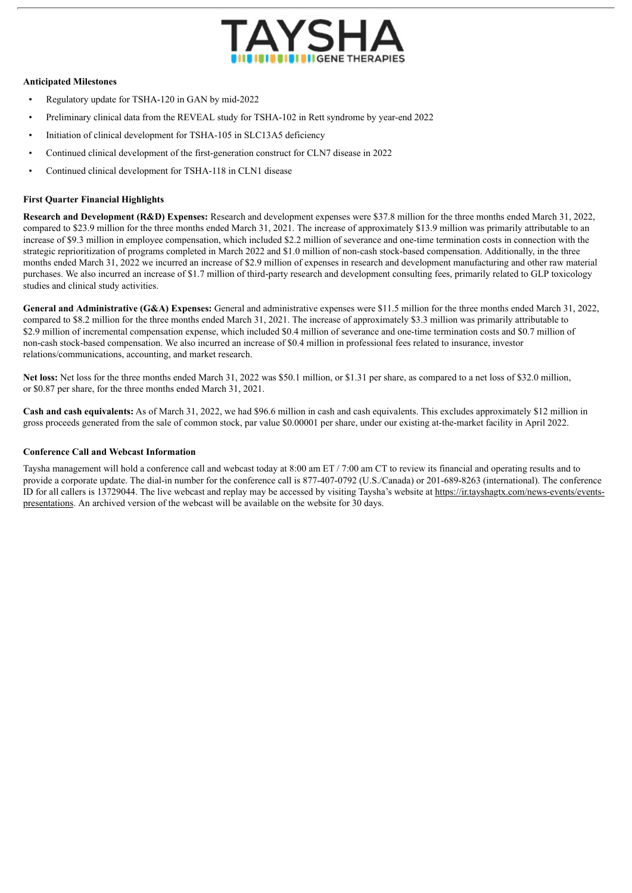

#### **Anticipated Milestones**

- Regulatory update for TSHA-120 in GAN by mid-2022
- Preliminary clinical data from the REVEAL study for TSHA-102 in Rett syndrome by year-end 2022
- Initiation of clinical development for TSHA-105 in SLC13A5 deficiency
- Continued clinical development of the first-generation construct for CLN7 disease in 2022
- Continued clinical development for TSHA-118 in CLN1 disease

#### **First Quarter Financial Highlights**

**Research and Development (R&D) Expenses:** Research and development expenses were \$37.8 million for the three months ended March 31, 2022, compared to \$23.9 million for the three months ended March 31, 2021. The increase of approximately \$13.9 million was primarily attributable to an increase of \$9.3 million in employee compensation, which included \$2.2 million of severance and one-time termination costs in connection with the strategic reprioritization of programs completed in March 2022 and \$1.0 million of non-cash stock-based compensation. Additionally, in the three months ended March 31, 2022 we incurred an increase of \$2.9 million of expenses in research and development manufacturing and other raw material purchases. We also incurred an increase of \$1.7 million of third-party research and development consulting fees, primarily related to GLP toxicology studies and clinical study activities.

**General and Administrative (G&A) Expenses:** General and administrative expenses were \$11.5 million for the three months ended March 31, 2022, compared to \$8.2 million for the three months ended March 31, 2021. The increase of approximately \$3.3 million was primarily attributable to \$2.9 million of incremental compensation expense, which included \$0.4 million of severance and one-time termination costs and \$0.7 million of non-cash stock-based compensation. We also incurred an increase of \$0.4 million in professional fees related to insurance, investor relations/communications, accounting, and market research.

**Net loss:** Net loss for the three months ended March 31, 2022 was \$50.1 million, or \$1.31 per share, as compared to a net loss of \$32.0 million, or \$0.87 per share, for the three months ended March 31, 2021.

**Cash and cash equivalents:** As of March 31, 2022, we had \$96.6 million in cash and cash equivalents. This excludes approximately \$12 million in gross proceeds generated from the sale of common stock, par value \$0.00001 per share, under our existing at-the-market facility in April 2022.

#### **Conference Call and Webcast Information**

Taysha management will hold a conference call and webcast today at 8:00 am ET / 7:00 am CT to review its financial and operating results and to provide a corporate update. The dial-in number for the conference call is 877-407-0792 (U.S./Canada) or 201-689-8263 (international). The conference ID for all callers is 13729044. The live webcast and replay may be accessed by visiting Taysha's website at https://ir.tayshagtx.com/news-events/eventspresentations. An archived version of the webcast will be available on the website for 30 days.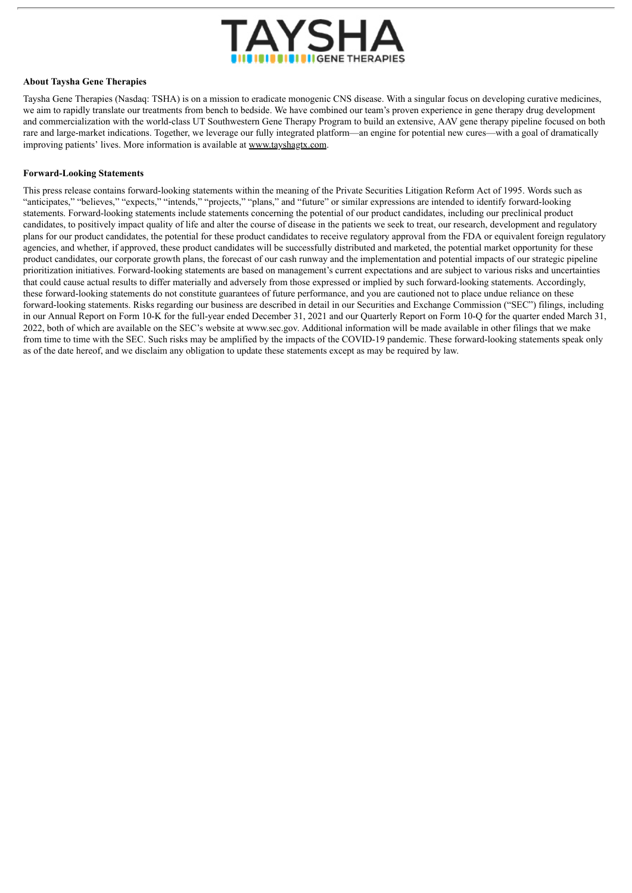

#### **About Taysha Gene Therapies**

Taysha Gene Therapies (Nasdaq: TSHA) is on a mission to eradicate monogenic CNS disease. With a singular focus on developing curative medicines, we aim to rapidly translate our treatments from bench to bedside. We have combined our team's proven experience in gene therapy drug development and commercialization with the world-class UT Southwestern Gene Therapy Program to build an extensive, AAV gene therapy pipeline focused on both rare and large-market indications. Together, we leverage our fully integrated platform—an engine for potential new cures—with a goal of dramatically improving patients' lives. More information is available at www.tayshagtx.com.

#### **Forward-Looking Statements**

This press release contains forward-looking statements within the meaning of the Private Securities Litigation Reform Act of 1995. Words such as "anticipates," "believes," "expects," "intends," "projects," "plans," and "future" or similar expressions are intended to identify forward-looking statements. Forward-looking statements include statements concerning the potential of our product candidates, including our preclinical product candidates, to positively impact quality of life and alter the course of disease in the patients we seek to treat, our research, development and regulatory plans for our product candidates, the potential for these product candidates to receive regulatory approval from the FDA or equivalent foreign regulatory agencies, and whether, if approved, these product candidates will be successfully distributed and marketed, the potential market opportunity for these product candidates, our corporate growth plans, the forecast of our cash runway and the implementation and potential impacts of our strategic pipeline prioritization initiatives. Forward-looking statements are based on management's current expectations and are subject to various risks and uncertainties that could cause actual results to differ materially and adversely from those expressed or implied by such forward-looking statements. Accordingly, these forward-looking statements do not constitute guarantees of future performance, and you are cautioned not to place undue reliance on these forward-looking statements. Risks regarding our business are described in detail in our Securities and Exchange Commission ("SEC") filings, including in our Annual Report on Form 10-K for the full-year ended December 31, 2021 and our Quarterly Report on Form 10-Q for the quarter ended March 31, 2022, both of which are available on the SEC's website at www.sec.gov. Additional information will be made available in other filings that we make from time to time with the SEC. Such risks may be amplified by the impacts of the COVID-19 pandemic. These forward-looking statements speak only as of the date hereof, and we disclaim any obligation to update these statements except as may be required by law.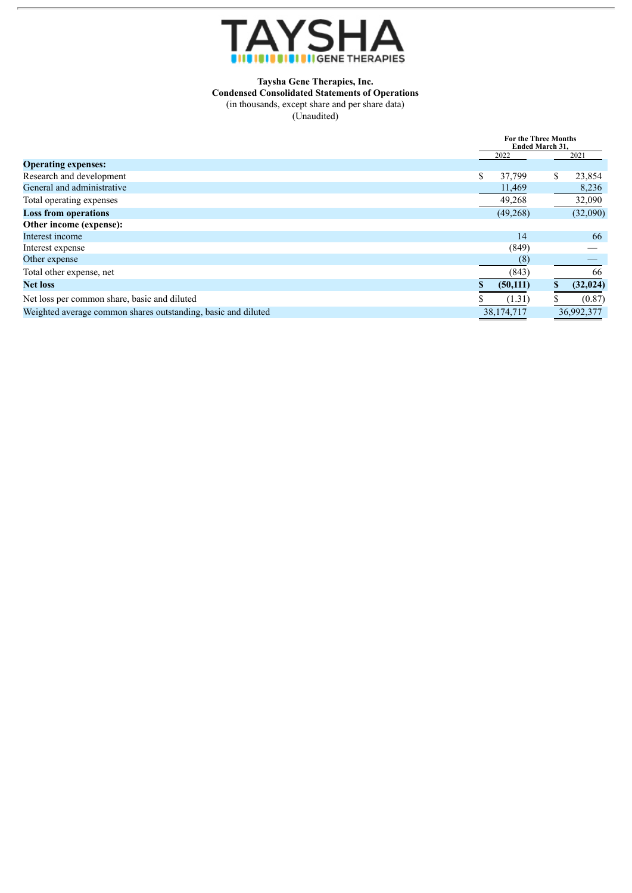

#### **Taysha Gene Therapies, Inc. Condensed Consolidated Statements of Operations** (in thousands, except share and per share data)

(Unaudited)

|                                                               |              | <b>For the Three Months</b><br><b>Ended March 31,</b> |  |
|---------------------------------------------------------------|--------------|-------------------------------------------------------|--|
|                                                               | 2022         | 2021                                                  |  |
| <b>Operating expenses:</b>                                    |              |                                                       |  |
| Research and development                                      | \$<br>37,799 | \$<br>23,854                                          |  |
| General and administrative                                    | 11,469       | 8,236                                                 |  |
| Total operating expenses                                      | 49,268       | 32,090                                                |  |
| <b>Loss from operations</b>                                   | (49,268)     | (32,090)                                              |  |
| Other income (expense):                                       |              |                                                       |  |
| Interest income                                               | 14           | 66                                                    |  |
| Interest expense                                              | (849)        |                                                       |  |
| Other expense                                                 | (8)          |                                                       |  |
| Total other expense, net                                      | (843)        | 66                                                    |  |
| <b>Net loss</b>                                               | (50, 111)    | (32, 024)                                             |  |
| Net loss per common share, basic and diluted                  | (1.31)       | (0.87)                                                |  |
| Weighted average common shares outstanding, basic and diluted | 38,174,717   | 36,992,377                                            |  |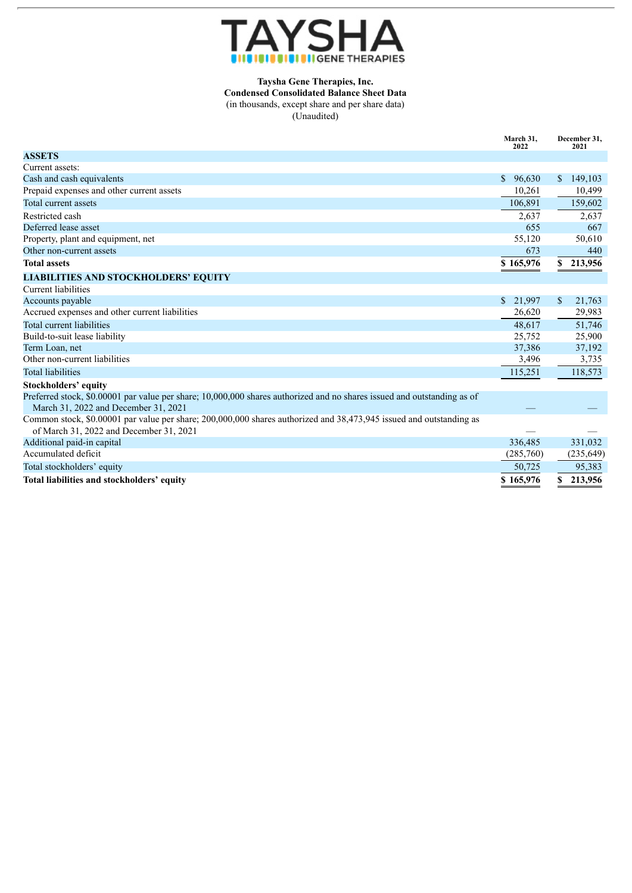

#### **Taysha Gene Therapies, Inc. Condensed Consolidated Balance Sheet Data** (in thousands, except share and per share data)

(Unaudited)

|                                                                                                                                                                 | March 31.<br>2022      | December 31,<br>2021    |
|-----------------------------------------------------------------------------------------------------------------------------------------------------------------|------------------------|-------------------------|
| <b>ASSETS</b>                                                                                                                                                   |                        |                         |
| Current assets:                                                                                                                                                 |                        |                         |
| Cash and cash equivalents                                                                                                                                       | $\mathbb{S}$<br>96,630 | 149,103<br>$\mathbf{s}$ |
| Prepaid expenses and other current assets                                                                                                                       | 10,261                 | 10,499                  |
| Total current assets                                                                                                                                            | 106,891                | 159,602                 |
| Restricted cash                                                                                                                                                 | 2,637                  | 2,637                   |
| Deferred lease asset                                                                                                                                            | 655                    | 667                     |
| Property, plant and equipment, net                                                                                                                              | 55,120                 | 50,610                  |
| Other non-current assets                                                                                                                                        | 673                    | 440                     |
| <b>Total assets</b>                                                                                                                                             | \$165,976              | 213,956<br>S            |
| <b>LIABILITIES AND STOCKHOLDERS' EQUITY</b>                                                                                                                     |                        |                         |
| Current liabilities                                                                                                                                             |                        |                         |
| Accounts payable                                                                                                                                                | \$21,997               | $\mathbb{S}$<br>21,763  |
| Accrued expenses and other current liabilities                                                                                                                  | 26,620                 | 29,983                  |
| Total current liabilities                                                                                                                                       | 48,617                 | 51,746                  |
| Build-to-suit lease liability                                                                                                                                   | 25,752                 | 25,900                  |
| Term Loan, net                                                                                                                                                  | 37,386                 | 37,192                  |
| Other non-current liabilities                                                                                                                                   | 3,496                  | 3,735                   |
| <b>Total liabilities</b>                                                                                                                                        | 115,251                | 118,573                 |
| Stockholders' equity                                                                                                                                            |                        |                         |
| Preferred stock, \$0.00001 par value per share; 10,000,000 shares authorized and no shares issued and outstanding as of<br>March 31, 2022 and December 31, 2021 |                        |                         |
| Common stock, \$0.00001 par value per share; 200,000,000 shares authorized and 38,473,945 issued and outstanding as<br>of March 31, 2022 and December 31, 2021  |                        |                         |
| Additional paid-in capital                                                                                                                                      | 336,485                | 331,032                 |
| Accumulated deficit                                                                                                                                             | (285,760)              | (235, 649)              |
| Total stockholders' equity                                                                                                                                      | 50,725                 | 95,383                  |
| Total liabilities and stockholders' equity                                                                                                                      | \$165,976              | 213,956                 |